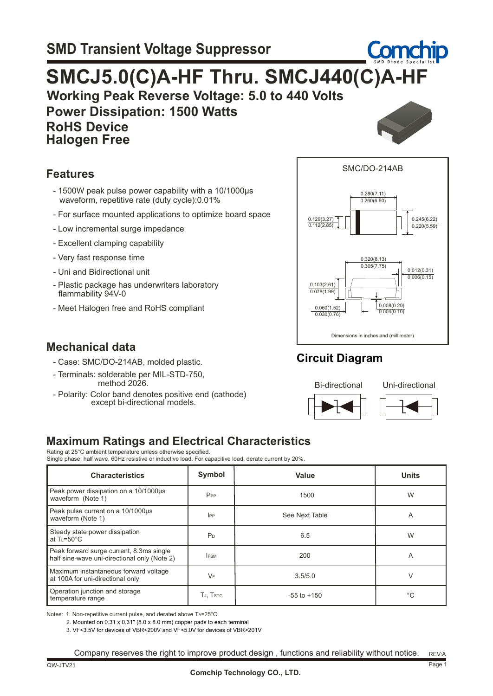# **Working Peak Reverse Voltage: 5.0 to 440 Volts Power Dissipation: 1500 Watts RoHS Device SMCJ5.0(C)A-HF Thru. SMCJ440(C)A-HF**

 **Halogen Free**



#### **Features**

- 1500W peak pulse power capability with a 10/1000µs waveform, repetitive rate (duty cycle):0.01%
- For surface mounted applications to optimize board space
- Low incremental surge impedance
- Excellent clamping capability
- Very fast response time
- Uni and Bidirectional unit
- Plastic package has underwriters laboratory flammability 94V-0
- Meet Halogen free and RoHS compliant

## **Mechanical data**

- Case: SMC/DO-214AB, molded plastic.
- Terminals: solderable per MIL-STD-750, method 2026.
- Polarity: Color band denotes positive end (cathode) except bi-directional models.



## **Circuit Diagram**



### **Maximum Ratings and Electrical Characteristics**

Rating at 25°C ambient temperature unless otherwise specified. Single phase, half wave, 60Hz resistive or inductive load. For capacitive load, derate current by 20%.

| <b>Characteristics</b>                                                                   | Symbol         | Value           | <b>Units</b> |  |
|------------------------------------------------------------------------------------------|----------------|-----------------|--------------|--|
| Peak power dissipation on a 10/1000us<br>waveform (Note 1)                               | $P_{PP}$       | 1500            | W            |  |
| Peak pulse current on a 10/1000µs<br>waveform (Note 1)                                   | $_{\rm lPP}$   | See Next Table  | A            |  |
| Steady state power dissipation<br>at $T = 50^{\circ}C$                                   | P <sub>D</sub> | 6.5             | W            |  |
| Peak forward surge current, 8.3ms single<br>half sine-wave uni-directional only (Note 2) | <b>FSM</b>     | 200             | A            |  |
| Maximum instantaneous forward voltage<br>at 100A for uni-directional only                | $V_F$          | 3.5/5.0         | V            |  |
| Operation junction and storage<br>temperature range                                      | TJ, TSTG       | $-55$ to $+150$ | °C           |  |

Notes: 1. Non-repetitive current pulse, and derated above TA=25°C

2. Mounted on 0.31 x 0.31" (8.0 x 8.0 mm) copper pads to each terminal

3. VF<3.5V for devices of VBR<200V and VF<5.0V for devices of VBR>201V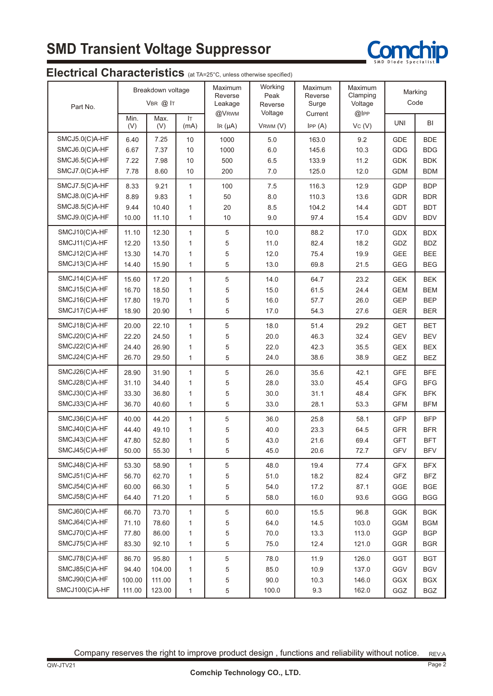# **SMD Transient Voltage Suppressor**



### Electrical Characteristics (at TA=25°C, unless otherwise specified)

| Part No.       | Breakdown voltage<br>$VBR$ $@$ $IT$ |             | Maximum<br>Reverse<br>Leakage<br>@VRWM | Working<br>Peak<br>Reverse<br>Voltage | Maximum<br>Reverse<br>Surge | Maximum<br>Clamping<br>Voltage<br>$@$ IPP | Marking<br>Code |            |            |
|----------------|-------------------------------------|-------------|----------------------------------------|---------------------------------------|-----------------------------|-------------------------------------------|-----------------|------------|------------|
|                | Min.<br>(V)                         | Max.<br>(V) | IT.<br>(mA)                            | IR $(\mu A)$                          | VRWM (V)                    | Current<br>IPP(A)                         | VC (V)          | <b>UNI</b> | BI         |
| SMCJ5.0(C)A-HF | 6.40                                | 7.25        | 10                                     | 1000                                  | 5.0                         | 163.0                                     | 9.2             | <b>GDE</b> | <b>BDE</b> |
| SMCJ6.0(C)A-HF | 6.67                                | 7.37        | 10                                     | 1000                                  | 6.0                         | 145.6                                     | 10.3            | <b>GDG</b> | <b>BDG</b> |
| SMCJ6.5(C)A-HF | 7.22                                | 7.98        | 10                                     | 500                                   | 6.5                         | 133.9                                     | 11.2            | <b>GDK</b> | <b>BDK</b> |
| SMCJ7.0(C)A-HF | 7.78                                | 8.60        | 10                                     | 200                                   | 7.0                         | 125.0                                     | 12.0            | <b>GDM</b> | <b>BDM</b> |
| SMCJ7.5(C)A-HF | 8.33                                | 9.21        | $\mathbf{1}$                           | 100                                   | 7.5                         | 116.3                                     | 12.9            | <b>GDP</b> | <b>BDP</b> |
| SMCJ8.0(C)A-HF | 8.89                                | 9.83        | $\mathbf{1}$                           | 50                                    | 8.0                         | 110.3                                     | 13.6            | <b>GDR</b> | <b>BDR</b> |
| SMCJ8.5(C)A-HF | 9.44                                | 10.40       | $\mathbf{1}$                           | 20                                    | 8.5                         | 104.2                                     | 14.4            | <b>GDT</b> | <b>BDT</b> |
| SMCJ9.0(C)A-HF | 10.00                               | 11.10       | $\mathbf{1}$                           | 10                                    | 9.0                         | 97.4                                      | 15.4            | GDV        | <b>BDV</b> |
| SMCJ10(C)A-HF  | 11.10                               | 12.30       | $\mathbf{1}$                           | 5                                     | 10.0                        | 88.2                                      | 17.0            | <b>GDX</b> | <b>BDX</b> |
| SMCJ11(C)A-HF  | 12.20                               | 13.50       | $\mathbf{1}$                           | 5                                     | 11.0                        | 82.4                                      | 18.2            | GDZ        | <b>BDZ</b> |
| SMCJ12(C)A-HF  | 13.30                               | 14.70       | $\mathbf{1}$                           | 5                                     | 12.0                        | 75.4                                      | 19.9            | <b>GEE</b> | <b>BEE</b> |
| SMCJ13(C)A-HF  | 14.40                               | 15.90       | $\mathbf{1}$                           | 5                                     | 13.0                        | 69.8                                      | 21.5            | <b>GEG</b> | <b>BEG</b> |
| SMCJ14(C)A-HF  | 15.60                               | 17.20       | $\mathbf{1}$                           | 5                                     | 14.0                        | 64.7                                      | 23.2            | <b>GEK</b> | <b>BEK</b> |
| SMCJ15(C)A-HF  | 16.70                               | 18.50       | $\mathbf{1}$                           | 5                                     | 15.0                        | 61.5                                      | 24.4            | <b>GEM</b> | <b>BEM</b> |
| SMCJ16(C)A-HF  | 17.80                               | 19.70       | 1                                      | 5                                     | 16.0                        | 57.7                                      | 26.0            | <b>GEP</b> | <b>BEP</b> |
| SMCJ17(C)A-HF  | 18.90                               | 20.90       | $\mathbf{1}$                           | 5                                     | 17.0                        | 54.3                                      | 27.6            | <b>GER</b> | <b>BER</b> |
| SMCJ18(C)A-HF  | 20.00                               | 22.10       | $\mathbf{1}$                           | 5                                     | 18.0                        | 51.4                                      | 29.2            | <b>GET</b> | <b>BET</b> |
| SMCJ20(C)A-HF  | 22.20                               | 24.50       | $\mathbf{1}$                           | 5                                     | 20.0                        | 46.3                                      | 32.4            | <b>GEV</b> | <b>BEV</b> |
| SMCJ22(C)A-HF  | 24.40                               | 26.90       | $\mathbf{1}$                           | 5                                     | 22.0                        | 42.3                                      | 35.5            | GEX        | <b>BEX</b> |
| SMCJ24(C)A-HF  | 26.70                               | 29.50       | $\mathbf{1}$                           | 5                                     | 24.0                        | 38.6                                      | 38.9            | GEZ        | <b>BEZ</b> |
| SMCJ26(C)A-HF  | 28.90                               | 31.90       | $\mathbf{1}$                           | 5                                     | 26.0                        | 35.6                                      | 42.1            | <b>GFE</b> | <b>BFE</b> |
| SMCJ28(C)A-HF  | 31.10                               | 34.40       | $\mathbf{1}$                           | 5                                     | 28.0                        | 33.0                                      | 45.4            | <b>GFG</b> | <b>BFG</b> |
| SMCJ30(C)A-HF  | 33.30                               | 36.80       | $\mathbf{1}$                           | 5                                     | 30.0                        | 31.1                                      | 48.4            | <b>GFK</b> | <b>BFK</b> |
| SMCJ33(C)A-HF  | 36.70                               | 40.60       | $\mathbf{1}$                           | 5                                     | 33.0                        | 28.1                                      | 53.3            | <b>GFM</b> | <b>BFM</b> |
| SMCJ36(C)A-HF  | 40.00                               | 44.20       | $\mathbf{1}$                           | 5                                     | 36.0                        | 25.8                                      | 58.1            | <b>GFP</b> | <b>BFP</b> |
| SMCJ40(C)A-HF  | 44.40                               | 49.10       | $\mathbf{1}$                           | 5                                     | 40.0                        | 23.3                                      | 64.5            | <b>GFR</b> | <b>BFR</b> |
| SMCJ43(C)A-HF  | 47.80                               | 52.80       | 1                                      | 5                                     | 43.0                        | 21.6                                      | 69.4            | <b>GFT</b> | <b>BFT</b> |
| SMCJ45(C)A-HF  | 50.00                               | 55.30       | 1                                      | 5                                     | 45.0                        | 20.6                                      | 72.7            | GFV        | <b>BFV</b> |
| SMCJ48(C)A-HF  | 53.30                               | 58.90       | $\mathbf{1}$                           | 5                                     | 48.0                        | 19.4                                      | 77.4            | <b>GFX</b> | <b>BFX</b> |
| SMCJ51(C)A-HF  | 56.70                               | 62.70       | $\mathbf{1}$                           | 5                                     | 51.0                        | 18.2                                      | 82.4            | GFZ        | <b>BFZ</b> |
| SMCJ54(C)A-HF  | 60.00                               | 66.30       | $\mathbf{1}$                           | 5                                     | 54.0                        | 17.2                                      | 87.1            | GGE        | <b>BGE</b> |
| SMCJ58(C)A-HF  | 64.40                               | 71.20       | $\mathbf{1}$                           | 5                                     | 58.0                        | 16.0                                      | 93.6            | GGG        | <b>BGG</b> |
| SMCJ60(C)A-HF  | 66.70                               | 73.70       | $\mathbf{1}$                           | $\,$ 5 $\,$                           | 60.0                        | 15.5                                      | 96.8            | <b>GGK</b> | <b>BGK</b> |
| SMCJ64(C)A-HF  | 71.10                               | 78.60       | $\mathbf{1}$                           | 5                                     | 64.0                        | 14.5                                      | 103.0           | <b>GGM</b> | <b>BGM</b> |
| SMCJ70(C)A-HF  | 77.80                               | 86.00       | 1                                      | 5                                     | 70.0                        | 13.3                                      | 113.0           | GGP        | <b>BGP</b> |
| SMCJ75(C)A-HF  | 83.30                               | 92.10       | $\mathbf{1}$                           | 5                                     | 75.0                        | 12.4                                      | 121.0           | GGR        | <b>BGR</b> |
| SMCJ78(C)A-HF  | 86.70                               | 95.80       | $\mathbf{1}$                           | 5                                     | 78.0                        | 11.9                                      | 126.0           | GGT        | <b>BGT</b> |
| SMCJ85(C)A-HF  | 94.40                               | 104.00      | $\mathbf{1}$                           | 5                                     | 85.0                        | 10.9                                      | 137.0           | GGV        | <b>BGV</b> |
| SMCJ90(C)A-HF  | 100.00                              | 111.00      | 1                                      | 5                                     | 90.0                        | 10.3                                      | 146.0           | GGX        | <b>BGX</b> |
| SMCJ100(C)A-HF | 111.00                              | 123.00      | $\mathbf{1}$                           | 5                                     | 100.0                       | 9.3                                       | 162.0           | GGZ        | BGZ        |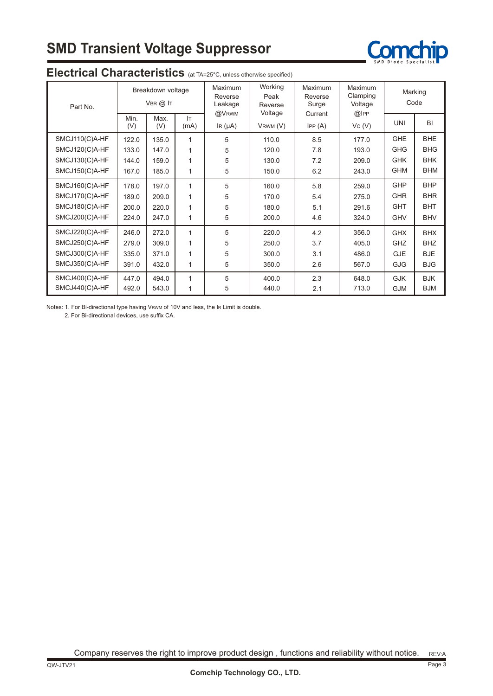# **SMD Transient Voltage Suppressor**



| Part No.       |             | Breakdown voltage<br>$V$ BR $(2)$ IT |              | Maximum<br>Reverse<br>Leakage<br>@VRWM | Working<br>Peak<br>Reverse | <b>Maximum</b><br>Reverse<br>Surge | <b>Maximum</b><br>Clamping<br>Voltage | Marking<br>Code |            |
|----------------|-------------|--------------------------------------|--------------|----------------------------------------|----------------------------|------------------------------------|---------------------------------------|-----------------|------------|
|                | Min.<br>(V) | Max.<br>(V)                          | IT.<br>(mA)  | $\text{IR}(\mu\text{A})$               | Voltage<br>VRWM (V)        | Current<br>IPP(A)                  | @lPP<br>Vc(V)                         | <b>UNI</b>      | BI         |
| SMCJ110(C)A-HF | 122.0       | 135.0                                | 1            | 5                                      | 110.0                      | 8.5                                | 177.0                                 | <b>GHE</b>      | <b>BHE</b> |
| SMCJ120(C)A-HF | 133.0       | 147.0                                | 1            | 5                                      | 120.0                      | 7.8                                | 193.0                                 | <b>GHG</b>      | <b>BHG</b> |
| SMCJ130(C)A-HF | 144.0       | 159.0                                | 1            | 5                                      | 130.0                      | 7.2                                | 209.0                                 | <b>GHK</b>      | <b>BHK</b> |
| SMCJ150(C)A-HF | 167.0       | 185.0                                | 1            | 5                                      | 150.0                      | 6.2                                | 243.0                                 | <b>GHM</b>      | <b>BHM</b> |
| SMCJ160(C)A-HF | 178.0       | 197.0                                | $\mathbf{1}$ | 5                                      | 160.0                      | 5.8                                | 259.0                                 | <b>GHP</b>      | <b>BHP</b> |
| SMCJ170(C)A-HF | 189.0       | 209.0                                | 1            | 5                                      | 170.0                      | 5.4                                | 275.0                                 | <b>GHR</b>      | <b>BHR</b> |
| SMCJ180(C)A-HF | 200.0       | 220.0                                | 1            | 5                                      | 180.0                      | 5.1                                | 291.6                                 | <b>GHT</b>      | <b>BHT</b> |
| SMCJ200(C)A-HF | 224.0       | 247.0                                | 1            | 5                                      | 200.0                      | 4.6                                | 324.0                                 | <b>GHV</b>      | <b>BHV</b> |
| SMCJ220(C)A-HF | 246.0       | 272.0                                | 1            | 5                                      | 220.0                      | 4.2                                | 356.0                                 | <b>GHX</b>      | <b>BHX</b> |
| SMCJ250(C)A-HF | 279.0       | 309.0                                | 1            | 5                                      | 250.0                      | 3.7                                | 405.0                                 | GHZ             | <b>BHZ</b> |
| SMCJ300(C)A-HF | 335.0       | 371.0                                | 1            | 5                                      | 300.0                      | 3.1                                | 486.0                                 | <b>GJE</b>      | <b>BJE</b> |
| SMCJ350(C)A-HF | 391.0       | 432.0                                | 1            | 5                                      | 350.0                      | 2.6                                | 567.0                                 | <b>GJG</b>      | <b>BJG</b> |
| SMCJ400(C)A-HF | 447.0       | 494.0                                | 1            | 5                                      | 400.0                      | 2.3                                | 648.0                                 | <b>GJK</b>      | <b>BJK</b> |
| SMCJ440(C)A-HF | 492.0       | 543.0                                | 1            | 5                                      | 440.0                      | 2.1                                | 713.0                                 | <b>GJM</b>      | <b>BJM</b> |

#### **Electrical Characteristics** (at TA=25°C, unless otherwise specified)

Notes: 1. For Bi-directional type having VRWM of 10V and less, the IR Limit is double.

2. For Bi-directional devices, use suffix CA.

REV:A Company reserves the right to improve product design , functions and reliability without notice.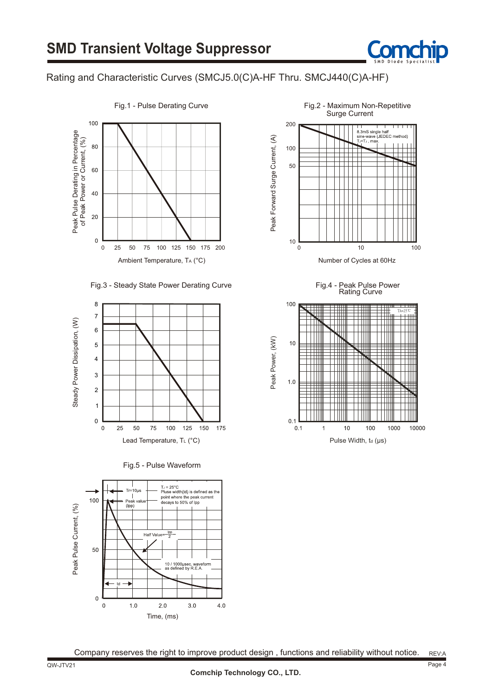

#### Rating and Characteristic Curves (SMCJ5.0(C)A-HF Thru. SMCJ440(C)A-HF)



Fig.3 - Steady State Power Derating Curve







Fig.1 - Pulse Derating Curve **Fig.2** - Maximum Non-Repetitive Surge Current



Fig.4 - Peak Pulse Power

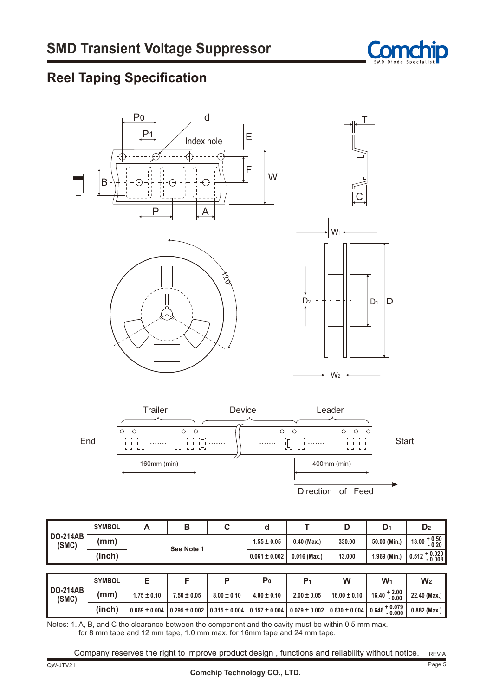

## **Reel Taping Specification**





|                          | <b>SYMBOL</b> | A                 | B                 | C                 | d                 |                   | D                 | D <sub>1</sub>            | D <sub>2</sub>             |
|--------------------------|---------------|-------------------|-------------------|-------------------|-------------------|-------------------|-------------------|---------------------------|----------------------------|
| <b>DO-214AB</b><br>(SMC) | (mm)          |                   |                   |                   | $1.55 \pm 0.05$   | $0.40$ (Max.)     | 330.00            | 50.00 (Min.)              | $13.00 + 0.50$<br>$0.20$   |
|                          | (inch)        |                   | See Note 1        |                   | $0.061 \pm 0.002$ | $0.016$ (Max.)    | 13.000            | 1.969 (Min.)              | $0.512 + 0.020$<br>$0.008$ |
|                          |               |                   |                   |                   |                   |                   |                   |                           |                            |
|                          | <b>SYMBOL</b> | Е                 | F                 | P                 | P <sub>0</sub>    | P <sub>1</sub>    | W                 | $W_1$                     | W <sub>2</sub>             |
| <b>DO-214AB</b><br>(SMC) | (mm)          | $1.75 \pm 0.10$   | $7.50 \pm 0.05$   | $8.00 \pm 0.10$   | $4.00 \pm 0.10$   | $2.00 \pm 0.05$   | $16.00 \pm 0.10$  | $16.40 + 2.00$<br>$-0.00$ | 22.40 (Max.)               |
|                          | (inch)        | $0.069 \pm 0.004$ | $0.295 \pm 0.002$ | $0.315 \pm 0.004$ | $0.157 \pm 0.004$ | $0.079 \pm 0.002$ | $0.630 \pm 0.004$ | $0.646 + 0.079$<br>0.000  | $0.882$ (Max.)             |

Notes: 1. A, B, and C the clearance between the component and the cavity must be within 0.5 mm max. for 8 mm tape and 12 mm tape, 1.0 mm max. for 16mm tape and 24 mm tape.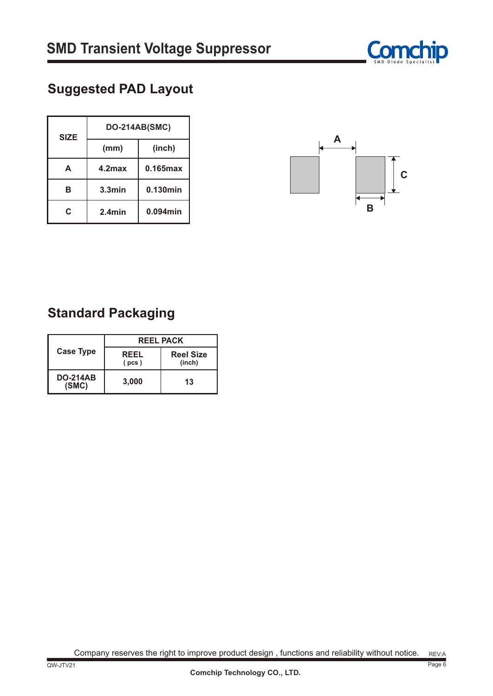

## **Suggested PAD Layout**

| <b>SIZE</b> | <b>DO-214AB(SMC)</b> |             |  |  |  |
|-------------|----------------------|-------------|--|--|--|
|             | (mm)                 | (inch)      |  |  |  |
| A           | 4.2 <sub>max</sub>   | 0.165max    |  |  |  |
| в           | $3.3$ min            | 0.130min    |  |  |  |
| C.          | $2.4$ min            | $0.094$ min |  |  |  |



## **Standard Packaging**

|                          | <b>REEL PACK</b> |                            |  |  |  |
|--------------------------|------------------|----------------------------|--|--|--|
| <b>Case Type</b>         | REEL<br>(pcs)    | <b>Reel Size</b><br>(inch) |  |  |  |
| <b>DO-214AB</b><br>(SMC) | 3,000            | 13                         |  |  |  |